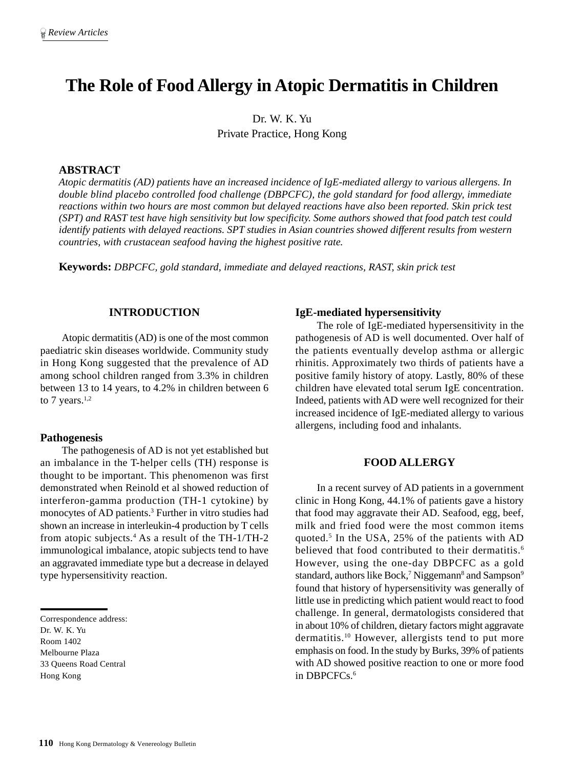# **The Role of Food Allergy in Atopic Dermatitis in Children**

Dr. W. K. Yu Private Practice, Hong Kong

## **ABSTRACT**

*Atopic dermatitis (AD) patients have an increased incidence of IgE-mediated allergy to various allergens. In double blind placebo controlled food challenge (DBPCFC), the gold standard for food allergy, immediate reactions within two hours are most common but delayed reactions have also been reported. Skin prick test (SPT) and RAST test have high sensitivity but low specificity. Some authors showed that food patch test could identify patients with delayed reactions. SPT studies in Asian countries showed different results from western countries, with crustacean seafood having the highest positive rate.*

**Keywords:** *DBPCFC, gold standard, immediate and delayed reactions, RAST, skin prick test*

#### **INTRODUCTION**

Atopic dermatitis (AD) is one of the most common paediatric skin diseases worldwide. Community study in Hong Kong suggested that the prevalence of AD among school children ranged from 3.3% in children between 13 to 14 years, to 4.2% in children between 6 to 7 years. $1,2$ 

#### **Pathogenesis**

The pathogenesis of AD is not yet established but an imbalance in the T-helper cells (TH) response is thought to be important. This phenomenon was first demonstrated when Reinold et al showed reduction of interferon-gamma production (TH-1 cytokine) by monocytes of AD patients.<sup>3</sup> Further in vitro studies had shown an increase in interleukin-4 production by T cells from atopic subjects.4 As a result of the TH-1/TH-2 immunological imbalance, atopic subjects tend to have an aggravated immediate type but a decrease in delayed type hypersensitivity reaction.

Correspondence address: Dr. W. K. Yu Room 1402 Melbourne Plaza 33 Queens Road Central Hong Kong

#### **IgE-mediated hypersensitivity**

The role of IgE-mediated hypersensitivity in the pathogenesis of AD is well documented. Over half of the patients eventually develop asthma or allergic rhinitis. Approximately two thirds of patients have a positive family history of atopy. Lastly, 80% of these children have elevated total serum IgE concentration. Indeed, patients with AD were well recognized for their increased incidence of IgE-mediated allergy to various allergens, including food and inhalants.

#### **FOOD ALLERGY**

In a recent survey of AD patients in a government clinic in Hong Kong, 44.1% of patients gave a history that food may aggravate their AD. Seafood, egg, beef, milk and fried food were the most common items quoted.5 In the USA, 25% of the patients with AD believed that food contributed to their dermatitis.<sup>6</sup> However, using the one-day DBPCFC as a gold standard, authors like Bock,<sup>7</sup> Niggemann<sup>8</sup> and Sampson<sup>9</sup> found that history of hypersensitivity was generally of little use in predicting which patient would react to food challenge. In general, dermatologists considered that in about 10% of children, dietary factors might aggravate dermatitis.10 However, allergists tend to put more emphasis on food. In the study by Burks, 39% of patients with AD showed positive reaction to one or more food in DBPCFCs.<sup>6</sup>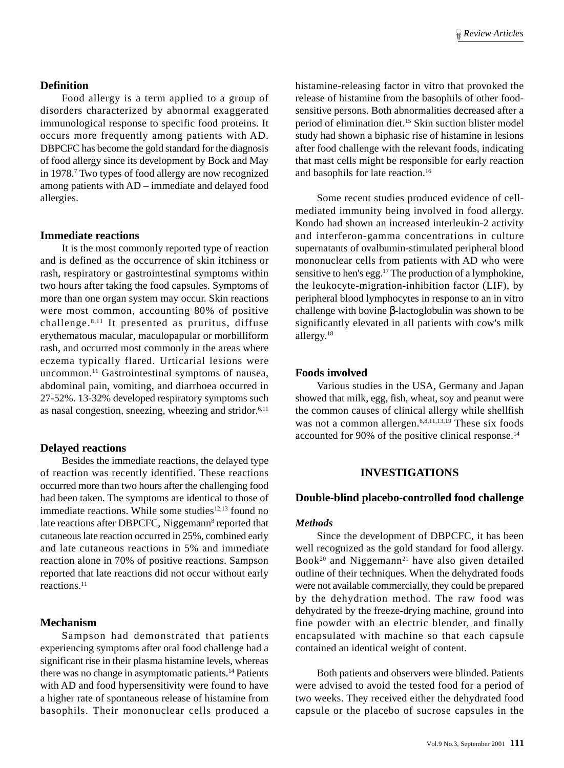#### **Definition**

Food allergy is a term applied to a group of disorders characterized by abnormal exaggerated immunological response to specific food proteins. It occurs more frequently among patients with AD. DBPCFC has become the gold standard for the diagnosis of food allergy since its development by Bock and May in 1978.7 Two types of food allergy are now recognized among patients with AD – immediate and delayed food allergies.

#### **Immediate reactions**

It is the most commonly reported type of reaction and is defined as the occurrence of skin itchiness or rash, respiratory or gastrointestinal symptoms within two hours after taking the food capsules. Symptoms of more than one organ system may occur. Skin reactions were most common, accounting 80% of positive challenge. 8,11 It presented as pruritus, diffuse erythematous macular, maculopapular or morbilliform rash, and occurred most commonly in the areas where eczema typically flared. Urticarial lesions were uncommon.11 Gastrointestinal symptoms of nausea, abdominal pain, vomiting, and diarrhoea occurred in 27-52%. 13-32% developed respiratory symptoms such as nasal congestion, sneezing, wheezing and stridor.6,11

## **Delayed reactions**

Besides the immediate reactions, the delayed type of reaction was recently identified. These reactions occurred more than two hours after the challenging food had been taken. The symptoms are identical to those of immediate reactions. While some studies $12,13$  found no late reactions after DBPCFC, Niggemann<sup>8</sup> reported that cutaneous late reaction occurred in 25%, combined early and late cutaneous reactions in 5% and immediate reaction alone in 70% of positive reactions. Sampson reported that late reactions did not occur without early reactions.11

## **Mechanism**

Sampson had demonstrated that patients experiencing symptoms after oral food challenge had a significant rise in their plasma histamine levels, whereas there was no change in asymptomatic patients.14 Patients with AD and food hypersensitivity were found to have a higher rate of spontaneous release of histamine from basophils. Their mononuclear cells produced a histamine-releasing factor in vitro that provoked the release of histamine from the basophils of other foodsensitive persons. Both abnormalities decreased after a period of elimination diet.15 Skin suction blister model study had shown a biphasic rise of histamine in lesions after food challenge with the relevant foods, indicating that mast cells might be responsible for early reaction and basophils for late reaction.16

Some recent studies produced evidence of cellmediated immunity being involved in food allergy. Kondo had shown an increased interleukin-2 activity and interferon-gamma concentrations in culture supernatants of ovalbumin-stimulated peripheral blood mononuclear cells from patients with AD who were sensitive to hen's egg.17 The production of a lymphokine, the leukocyte-migration-inhibition factor (LIF), by peripheral blood lymphocytes in response to an in vitro challenge with bovine β-lactoglobulin was shown to be significantly elevated in all patients with cow's milk allergy.18

# **Foods involved**

Various studies in the USA, Germany and Japan showed that milk, egg, fish, wheat, soy and peanut were the common causes of clinical allergy while shellfish was not a common allergen.<sup>6,8,11,13,19</sup> These six foods accounted for 90% of the positive clinical response.<sup>14</sup>

## **INVESTIGATIONS**

## **Double-blind placebo-controlled food challenge**

## *Methods*

Since the development of DBPCFC, it has been well recognized as the gold standard for food allergy. Book<sup>20</sup> and Niggemann<sup>21</sup> have also given detailed outline of their techniques. When the dehydrated foods were not available commercially, they could be prepared by the dehydration method. The raw food was dehydrated by the freeze-drying machine, ground into fine powder with an electric blender, and finally encapsulated with machine so that each capsule contained an identical weight of content.

Both patients and observers were blinded. Patients were advised to avoid the tested food for a period of two weeks. They received either the dehydrated food capsule or the placebo of sucrose capsules in the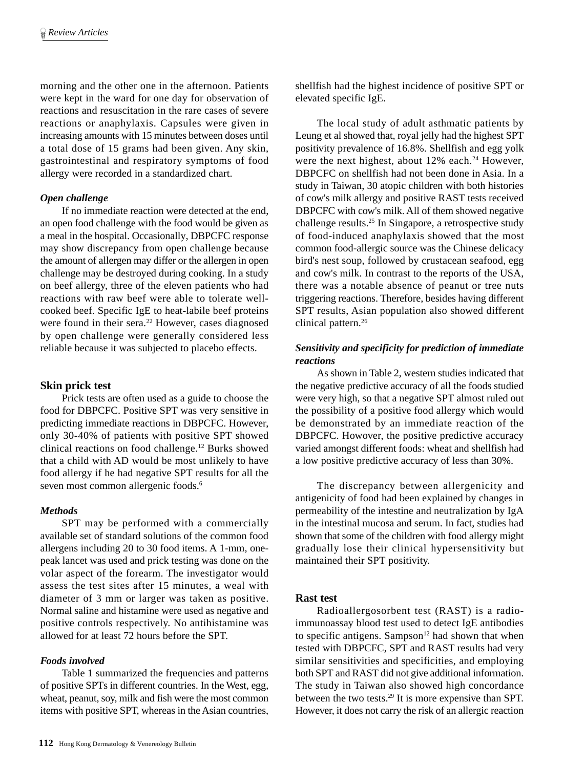morning and the other one in the afternoon. Patients were kept in the ward for one day for observation of reactions and resuscitation in the rare cases of severe reactions or anaphylaxis. Capsules were given in increasing amounts with 15 minutes between doses until a total dose of 15 grams had been given. Any skin, gastrointestinal and respiratory symptoms of food allergy were recorded in a standardized chart.

#### *Open challenge*

If no immediate reaction were detected at the end, an open food challenge with the food would be given as a meal in the hospital. Occasionally, DBPCFC response may show discrepancy from open challenge because the amount of allergen may differ or the allergen in open challenge may be destroyed during cooking. In a study on beef allergy, three of the eleven patients who had reactions with raw beef were able to tolerate wellcooked beef. Specific IgE to heat-labile beef proteins were found in their sera.<sup>22</sup> However, cases diagnosed by open challenge were generally considered less reliable because it was subjected to placebo effects.

#### **Skin prick test**

Prick tests are often used as a guide to choose the food for DBPCFC. Positive SPT was very sensitive in predicting immediate reactions in DBPCFC. However, only 30-40% of patients with positive SPT showed clinical reactions on food challenge.12 Burks showed that a child with AD would be most unlikely to have food allergy if he had negative SPT results for all the seven most common allergenic foods.<sup>6</sup>

#### *Methods*

SPT may be performed with a commercially available set of standard solutions of the common food allergens including 20 to 30 food items. A 1-mm, onepeak lancet was used and prick testing was done on the volar aspect of the forearm. The investigator would assess the test sites after 15 minutes, a weal with diameter of 3 mm or larger was taken as positive. Normal saline and histamine were used as negative and positive controls respectively. No antihistamine was allowed for at least 72 hours before the SPT.

#### *Foods involved*

Table 1 summarized the frequencies and patterns of positive SPTs in different countries. In the West, egg, wheat, peanut, soy, milk and fish were the most common items with positive SPT, whereas in the Asian countries,

shellfish had the highest incidence of positive SPT or elevated specific IgE.

The local study of adult asthmatic patients by Leung et al showed that, royal jelly had the highest SPT positivity prevalence of 16.8%. Shellfish and egg yolk were the next highest, about 12% each.<sup>24</sup> However, DBPCFC on shellfish had not been done in Asia. In a study in Taiwan, 30 atopic children with both histories of cow's milk allergy and positive RAST tests received DBPCFC with cow's milk. All of them showed negative challenge results.25 In Singapore, a retrospective study of food-induced anaphylaxis showed that the most common food-allergic source was the Chinese delicacy bird's nest soup, followed by crustacean seafood, egg and cow's milk. In contrast to the reports of the USA, there was a notable absence of peanut or tree nuts triggering reactions. Therefore, besides having different SPT results, Asian population also showed different clinical pattern.<sup>26</sup>

## *Sensitivity and specificity for prediction of immediate reactions*

As shown in Table 2, western studies indicated that the negative predictive accuracy of all the foods studied were very high, so that a negative SPT almost ruled out the possibility of a positive food allergy which would be demonstrated by an immediate reaction of the DBPCFC. Howover, the positive predictive accuracy varied amongst different foods: wheat and shellfish had a low positive predictive accuracy of less than 30%.

The discrepancy between allergenicity and antigenicity of food had been explained by changes in permeability of the intestine and neutralization by IgA in the intestinal mucosa and serum. In fact, studies had shown that some of the children with food allergy might gradually lose their clinical hypersensitivity but maintained their SPT positivity.

## **Rast test**

Radioallergosorbent test (RAST) is a radioimmunoassay blood test used to detect IgE antibodies to specific antigens. Sampson $12$  had shown that when tested with DBPCFC, SPT and RAST results had very similar sensitivities and specificities, and employing both SPT and RAST did not give additional information. The study in Taiwan also showed high concordance between the two tests.29 It is more expensive than SPT. However, it does not carry the risk of an allergic reaction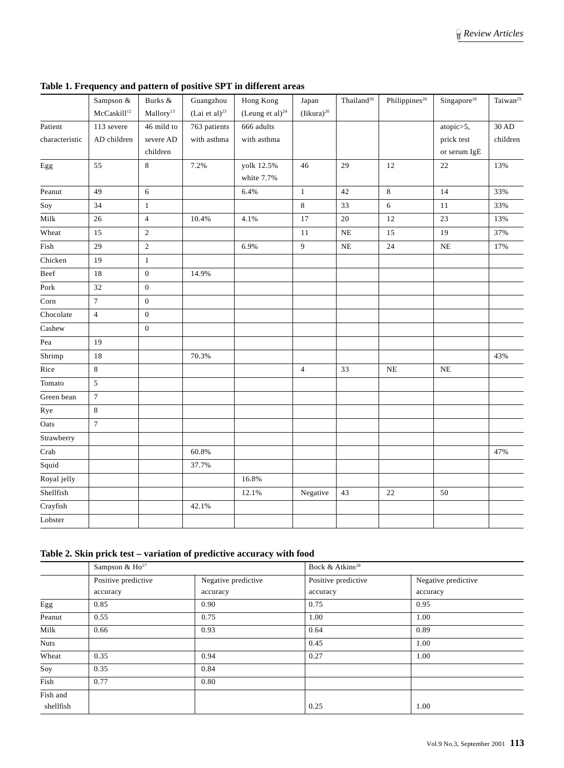|                | Sampson &               | Burks &               | Guangzhou           | Hong Kong             | Japan           | Thailand <sup>20</sup> | Philippines <sup>20</sup> | Singapore <sup>20</sup> | Taiwan <sup>25</sup> |
|----------------|-------------------------|-----------------------|---------------------|-----------------------|-----------------|------------------------|---------------------------|-------------------------|----------------------|
|                | McCaskill <sup>12</sup> | Mallory <sup>13</sup> | (Lai et al) $^{23}$ | (Leung et al) $^{24}$ | $(Iikura)^{20}$ |                        |                           |                         |                      |
| Patient        | 113 severe              | 46 mild to            | 763 patients        | 666 adults            |                 |                        |                           | atopic>5,               | 30 AD                |
| characteristic | AD children             | severe AD             | with asthma         | with asthma           |                 |                        |                           | prick test              | children             |
|                |                         | children              |                     |                       |                 |                        |                           | or serum IgE            |                      |
| Egg            | 55                      | 8                     | 7.2%                | yolk 12.5%            | 46              | 29                     | 12                        | 22                      | 13%                  |
|                |                         |                       |                     | white 7.7%            |                 |                        |                           |                         |                      |
| Peanut         | 49                      | 6                     |                     | 6.4%                  | $\mathbf{1}$    | 42                     | 8                         | 14                      | 33%                  |
| Soy            | 34                      | $\mathbf{1}$          |                     |                       | 8               | 33                     | 6                         | 11                      | 33%                  |
| Milk           | 26                      | $\overline{4}$        | 10.4%               | 4.1%                  | 17              | 20                     | 12                        | 23                      | 13%                  |
| Wheat          | 15                      | $\mathbf{2}$          |                     |                       | $11\,$          | $\rm NE$               | 15                        | 19                      | 37%                  |
| Fish           | 29                      | $\boldsymbol{2}$      |                     | 6.9%                  | 9               | $\rm NE$               | 24                        | NE                      | 17%                  |
| Chicken        | 19                      | $\mathbf{1}$          |                     |                       |                 |                        |                           |                         |                      |
| Beef           | 18                      | $\boldsymbol{0}$      | 14.9%               |                       |                 |                        |                           |                         |                      |
| Pork           | 32                      | $\boldsymbol{0}$      |                     |                       |                 |                        |                           |                         |                      |
| Corn           | $\tau$                  | $\mathbf{0}$          |                     |                       |                 |                        |                           |                         |                      |
| Chocolate      | $\overline{4}$          | $\boldsymbol{0}$      |                     |                       |                 |                        |                           |                         |                      |
| Cashew         |                         | $\mathbf{0}$          |                     |                       |                 |                        |                           |                         |                      |
| Pea            | 19                      |                       |                     |                       |                 |                        |                           |                         |                      |
| Shrimp         | 18                      |                       | 70.3%               |                       |                 |                        |                           |                         | 43%                  |
| Rice           | 8                       |                       |                     |                       | $\overline{4}$  | 33                     | NE                        | NE                      |                      |
| Tomato         | 5                       |                       |                     |                       |                 |                        |                           |                         |                      |
| Green bean     | $\tau$                  |                       |                     |                       |                 |                        |                           |                         |                      |
| Rye            | 8                       |                       |                     |                       |                 |                        |                           |                         |                      |
| Oats           | $\tau$                  |                       |                     |                       |                 |                        |                           |                         |                      |
| Strawberry     |                         |                       |                     |                       |                 |                        |                           |                         |                      |
| Crab           |                         |                       | 60.8%               |                       |                 |                        |                           |                         | 47%                  |
| Squid          |                         |                       | 37.7%               |                       |                 |                        |                           |                         |                      |
| Royal jelly    |                         |                       |                     | 16.8%                 |                 |                        |                           |                         |                      |
| Shellfish      |                         |                       |                     | 12.1%                 | Negative        | 43                     | $22\,$                    | 50                      |                      |
| Crayfish       |                         |                       | 42.1%               |                       |                 |                        |                           |                         |                      |
| Lobster        |                         |                       |                     |                       |                 |                        |                           |                         |                      |

**Table 1. Frequency and pattern of positive SPT in different areas**

#### **Table 2. Skin prick test – variation of predictive accuracy with food**

|             | Sampson & Ho <sup>27</sup> |                     | Bock & Atkins <sup>28</sup> |                     |  |  |  |
|-------------|----------------------------|---------------------|-----------------------------|---------------------|--|--|--|
|             | Positive predictive        | Negative predictive | Positive predictive         | Negative predictive |  |  |  |
|             | accuracy                   | accuracy            | accuracy                    | accuracy            |  |  |  |
| Egg         | 0.85                       | 0.90                | 0.75                        | 0.95                |  |  |  |
| Peanut      | 0.55                       | 0.75                | 1.00                        | 1.00                |  |  |  |
| Milk        | 0.66                       | 0.93                | 0.64                        | 0.89                |  |  |  |
| <b>Nuts</b> |                            |                     | 0.45                        | 1.00                |  |  |  |
| Wheat       | 0.35                       | 0.94                | 0.27                        | 1.00                |  |  |  |
| Soy         | 0.35                       | 0.84                |                             |                     |  |  |  |
| Fish        | 0.77                       | 0.80                |                             |                     |  |  |  |
| Fish and    |                            |                     |                             |                     |  |  |  |
| shellfish   |                            |                     | 0.25                        | 1.00                |  |  |  |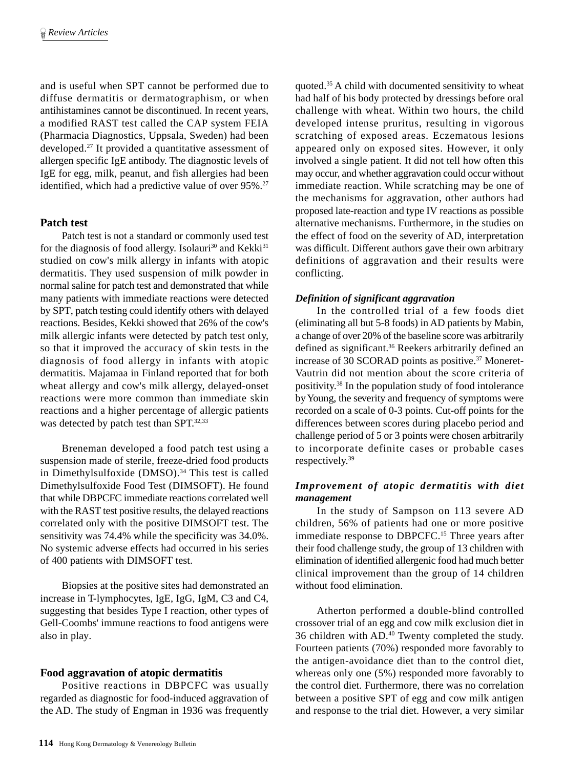and is useful when SPT cannot be performed due to diffuse dermatitis or dermatographism, or when antihistamines cannot be discontinued. In recent years, a modified RAST test called the CAP system FEIA (Pharmacia Diagnostics, Uppsala, Sweden) had been developed.27 It provided a quantitative assessment of allergen specific IgE antibody. The diagnostic levels of IgE for egg, milk, peanut, and fish allergies had been identified, which had a predictive value of over 95%.<sup>27</sup>

# **Patch test**

Patch test is not a standard or commonly used test for the diagnosis of food allergy. Isolauri<sup>30</sup> and Kekki<sup>31</sup> studied on cow's milk allergy in infants with atopic dermatitis. They used suspension of milk powder in normal saline for patch test and demonstrated that while many patients with immediate reactions were detected by SPT, patch testing could identify others with delayed reactions. Besides, Kekki showed that 26% of the cow's milk allergic infants were detected by patch test only, so that it improved the accuracy of skin tests in the diagnosis of food allergy in infants with atopic dermatitis. Majamaa in Finland reported that for both wheat allergy and cow's milk allergy, delayed-onset reactions were more common than immediate skin reactions and a higher percentage of allergic patients was detected by patch test than SPT.<sup>32,33</sup>

Breneman developed a food patch test using a suspension made of sterile, freeze-dried food products in Dimethylsulfoxide (DMSO).<sup>34</sup> This test is called Dimethylsulfoxide Food Test (DIMSOFT). He found that while DBPCFC immediate reactions correlated well with the RAST test positive results, the delayed reactions correlated only with the positive DIMSOFT test. The sensitivity was 74.4% while the specificity was 34.0%. No systemic adverse effects had occurred in his series of 400 patients with DIMSOFT test.

Biopsies at the positive sites had demonstrated an increase in T-lymphocytes, IgE, IgG, IgM, C3 and C4, suggesting that besides Type I reaction, other types of Gell-Coombs' immune reactions to food antigens were also in play.

## **Food aggravation of atopic dermatitis**

Positive reactions in DBPCFC was usually regarded as diagnostic for food-induced aggravation of the AD. The study of Engman in 1936 was frequently

quoted.35 A child with documented sensitivity to wheat had half of his body protected by dressings before oral challenge with wheat. Within two hours, the child developed intense pruritus, resulting in vigorous scratching of exposed areas. Eczematous lesions appeared only on exposed sites. However, it only involved a single patient. It did not tell how often this may occur, and whether aggravation could occur without immediate reaction. While scratching may be one of the mechanisms for aggravation, other authors had proposed late-reaction and type IV reactions as possible alternative mechanisms. Furthermore, in the studies on the effect of food on the severity of AD, interpretation was difficult. Different authors gave their own arbitrary definitions of aggravation and their results were conflicting.

# *Definition of significant aggravation*

In the controlled trial of a few foods diet (eliminating all but 5-8 foods) in AD patients by Mabin, a change of over 20% of the baseline score was arbitrarily defined as significant.<sup>36</sup> Reekers arbitrarily defined an increase of 30 SCORAD points as positive.<sup>37</sup> Moneret-Vautrin did not mention about the score criteria of positivity.38 In the population study of food intolerance by Young, the severity and frequency of symptoms were recorded on a scale of 0-3 points. Cut-off points for the differences between scores during placebo period and challenge period of 5 or 3 points were chosen arbitrarily to incorporate definite cases or probable cases respectively.39

# *Improvement of atopic dermatitis with diet management*

In the study of Sampson on 113 severe AD children, 56% of patients had one or more positive immediate response to DBPCFC.15 Three years after their food challenge study, the group of 13 children with elimination of identified allergenic food had much better clinical improvement than the group of 14 children without food elimination.

Atherton performed a double-blind controlled crossover trial of an egg and cow milk exclusion diet in 36 children with AD.40 Twenty completed the study. Fourteen patients (70%) responded more favorably to the antigen-avoidance diet than to the control diet, whereas only one (5%) responded more favorably to the control diet. Furthermore, there was no correlation between a positive SPT of egg and cow milk antigen and response to the trial diet. However, a very similar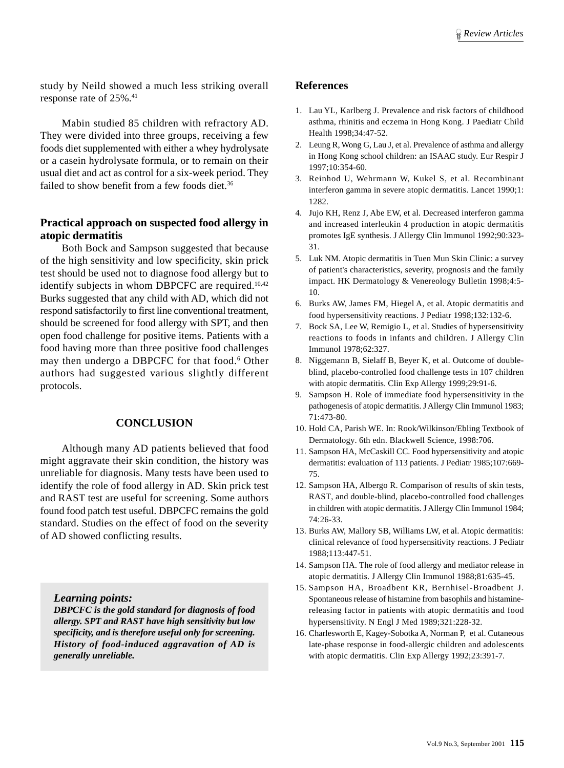study by Neild showed a much less striking overall response rate of 25%.41

Mabin studied 85 children with refractory AD. They were divided into three groups, receiving a few foods diet supplemented with either a whey hydrolysate or a casein hydrolysate formula, or to remain on their usual diet and act as control for a six-week period. They failed to show benefit from a few foods diet.<sup>36</sup>

# **Practical approach on suspected food allergy in atopic dermatitis**

Both Bock and Sampson suggested that because of the high sensitivity and low specificity, skin prick test should be used not to diagnose food allergy but to identify subjects in whom DBPCFC are required.<sup>10,42</sup> Burks suggested that any child with AD, which did not respond satisfactorily to first line conventional treatment, should be screened for food allergy with SPT, and then open food challenge for positive items. Patients with a food having more than three positive food challenges may then undergo a DBPCFC for that food.<sup>6</sup> Other authors had suggested various slightly different protocols.

#### **CONCLUSION**

Although many AD patients believed that food might aggravate their skin condition, the history was unreliable for diagnosis. Many tests have been used to identify the role of food allergy in AD. Skin prick test and RAST test are useful for screening. Some authors found food patch test useful. DBPCFC remains the gold standard. Studies on the effect of food on the severity of AD showed conflicting results.

*Learning points:*

*DBPCFC is the gold standard for diagnosis of food allergy. SPT and RAST have high sensitivity but low specificity, and is therefore useful only for screening. History of food-induced aggravation of AD is generally unreliable.*

#### **References**

- 1. Lau YL, Karlberg J. Prevalence and risk factors of childhood asthma, rhinitis and eczema in Hong Kong. J Paediatr Child Health 1998;34:47-52.
- 2. Leung R, Wong G, Lau J, et al. Prevalence of asthma and allergy in Hong Kong school children: an ISAAC study. Eur Respir J 1997;10:354-60.
- 3. Reinhod U, Wehrmann W, Kukel S, et al. Recombinant interferon gamma in severe atopic dermatitis. Lancet 1990;1: 1282.
- 4. Jujo KH, Renz J, Abe EW, et al. Decreased interferon gamma and increased interleukin 4 production in atopic dermatitis promotes IgE synthesis. J Allergy Clin Immunol 1992;90:323- 31.
- 5. Luk NM. Atopic dermatitis in Tuen Mun Skin Clinic: a survey of patient's characteristics, severity, prognosis and the family impact. HK Dermatology & Venereology Bulletin 1998;4:5- 10.
- 6. Burks AW, James FM, Hiegel A, et al. Atopic dermatitis and food hypersensitivity reactions. J Pediatr 1998;132:132-6.
- 7. Bock SA, Lee W, Remigio L, et al. Studies of hypersensitivity reactions to foods in infants and children. J Allergy Clin Immunol 1978;62:327.
- 8. Niggemann B, Sielaff B, Beyer K, et al. Outcome of doubleblind, placebo-controlled food challenge tests in 107 children with atopic dermatitis. Clin Exp Allergy 1999;29:91-6.
- 9. Sampson H. Role of immediate food hypersensitivity in the pathogenesis of atopic dermatitis. J Allergy Clin Immunol 1983; 71:473-80.
- 10. Hold CA, Parish WE. In: Rook/Wilkinson/Ebling Textbook of Dermatology. 6th edn. Blackwell Science, 1998:706.
- 11. Sampson HA, McCaskill CC. Food hypersensitivity and atopic dermatitis: evaluation of 113 patients. J Pediatr 1985;107:669- 75.
- 12. Sampson HA, Albergo R. Comparison of results of skin tests, RAST, and double-blind, placebo-controlled food challenges in children with atopic dermatitis. J Allergy Clin Immunol 1984; 74:26-33.
- 13. Burks AW, Mallory SB, Williams LW, et al. Atopic dermatitis: clinical relevance of food hypersensitivity reactions. J Pediatr 1988;113:447-51.
- 14. Sampson HA. The role of food allergy and mediator release in atopic dermatitis. J Allergy Clin Immunol 1988;81:635-45.
- 15. Sampson HA, Broadbent KR, Bernhisel-Broadbent J. Spontaneous release of histamine from basophils and histaminereleasing factor in patients with atopic dermatitis and food hypersensitivity. N Engl J Med 1989;321:228-32.
- 16. Charlesworth E, Kagey-Sobotka A, Norman P, et al. Cutaneous late-phase response in food-allergic children and adolescents with atopic dermatitis. Clin Exp Allergy 1992;23:391-7.